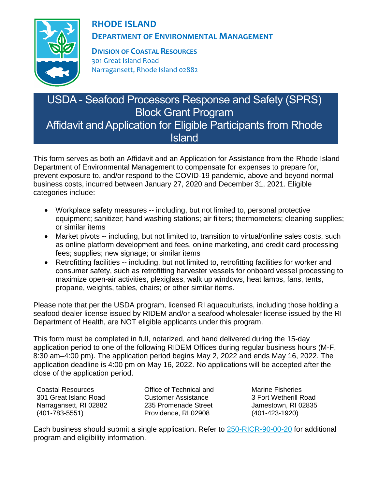

# **RHODE ISLAND DEPARTMENT OF ENVIRONMENTAL MANAGEMENT**

**DIVISION OF COASTAL RESOURCES** 301 Great Island Road Narragansett, Rhode Island 02882

# USDA - Seafood Processors Response and Safety (SPRS) Block Grant Program Affidavit and Application for Eligible Participants from Rhode **Island**

This form serves as both an Affidavit and an Application for Assistance from the Rhode Island Department of Environmental Management to compensate for expenses to prepare for, prevent exposure to, and/or respond to the COVID-19 pandemic, above and beyond normal business costs, incurred between January 27, 2020 and December 31, 2021. Eligible categories include:

- Workplace safety measures -- including, but not limited to, personal protective equipment; sanitizer; hand washing stations; air filters; thermometers; cleaning supplies; or similar items
- Market pivots -- including, but not limited to, transition to virtual/online sales costs, such as online platform development and fees, online marketing, and credit card processing fees; supplies; new signage; or similar items
- Retrofitting facilities -- including, but not limited to, retrofitting facilities for worker and consumer safety, such as retrofitting harvester vessels for onboard vessel processing to maximize open-air activities, plexiglass, walk up windows, heat lamps, fans, tents, propane, weights, tables, chairs; or other similar items.

Please note that per the USDA program, licensed RI aquaculturists, including those holding a seafood dealer license issued by RIDEM and/or a seafood wholesaler license issued by the RI Department of Health, are NOT eligible applicants under this program.

This form must be completed in full, notarized, and hand delivered during the 15-day application period to one of the following RIDEM Offices during regular business hours (M-F, 8:30 am–4:00 pm). The application period begins May 2, 2022 and ends May 16, 2022. The application deadline is 4:00 pm on May 16, 2022. No applications will be accepted after the close of the application period.

Coastal Resources 301 Great Island Road Narragansett, RI 02882 (401-783-5551)

Office of Technical and Customer Assistance 235 Promenade Street Providence, RI 02908

Marine Fisheries 3 Fort Wetherill Road Jamestown, RI 02835 (401-423-1920)

Each business should submit a single application. Refer to [250-RICR-90-00-20](https://rules.sos.ri.gov/regulations/part/250-90-00-20) for additional program and eligibility information.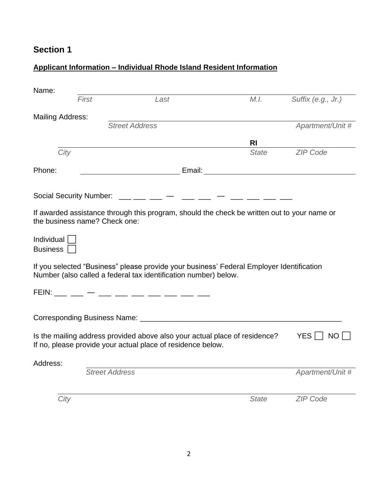# **Applicant Information – Individual Rhode Island Resident Information**

| Name:                         |                               |                                                                                                                                                             |              |                       |
|-------------------------------|-------------------------------|-------------------------------------------------------------------------------------------------------------------------------------------------------------|--------------|-----------------------|
|                               | First                         | Last                                                                                                                                                        | M.I.         | Suffix (e.g., Jr.)    |
| <b>Mailing Address:</b>       |                               |                                                                                                                                                             |              |                       |
|                               |                               | <b>Street Address</b>                                                                                                                                       |              | Apartment/Unit #      |
|                               |                               |                                                                                                                                                             | <b>RI</b>    |                       |
| City                          |                               |                                                                                                                                                             | <b>State</b> | <b>ZIP Code</b>       |
| Phone:                        |                               |                                                                                                                                                             |              |                       |
|                               |                               |                                                                                                                                                             |              |                       |
|                               |                               | Social Security Number: $\frac{1}{1}$ $\frac{1}{1}$ $\frac{1}{1}$ $\frac{1}{1}$ $\frac{1}{1}$ $\frac{1}{1}$ $\frac{1}{1}$                                   |              |                       |
|                               | the business name? Check one: | If awarded assistance through this program, should the check be written out to your name or                                                                 |              |                       |
| Individual<br><b>Business</b> |                               |                                                                                                                                                             |              |                       |
|                               |                               | If you selected "Business" please provide your business' Federal Employer Identification<br>Number (also called a federal tax identification number) below. |              |                       |
|                               |                               | FEIN: __ __ _ _ _ _ __ __ __ __ __ __ __ __                                                                                                                 |              |                       |
|                               |                               |                                                                                                                                                             |              |                       |
|                               |                               | Is the mailing address provided above also your actual place of residence?<br>If no, please provide your actual place of residence below.                   |              | YES $\sqrt{\ }$<br>NO |
| Address:                      |                               |                                                                                                                                                             |              |                       |
|                               | <b>Street Address</b>         |                                                                                                                                                             |              | Apartment/Unit #      |
| City                          |                               |                                                                                                                                                             | <b>State</b> | <b>ZIP Code</b>       |
|                               |                               |                                                                                                                                                             |              |                       |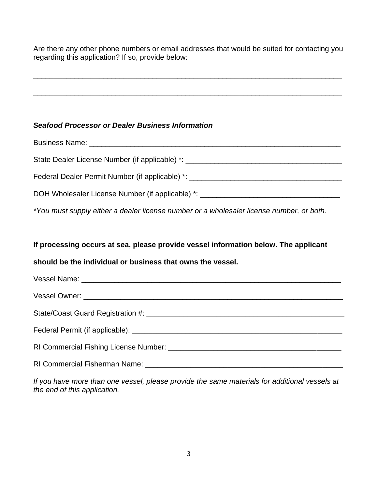Are there any other phone numbers or email addresses that would be suited for contacting you regarding this application? If so, provide below:

\_\_\_\_\_\_\_\_\_\_\_\_\_\_\_\_\_\_\_\_\_\_\_\_\_\_\_\_\_\_\_\_\_\_\_\_\_\_\_\_\_\_\_\_\_\_\_\_\_\_\_\_\_\_\_\_\_\_\_\_\_\_\_\_\_\_\_\_\_\_\_\_\_\_\_

\_\_\_\_\_\_\_\_\_\_\_\_\_\_\_\_\_\_\_\_\_\_\_\_\_\_\_\_\_\_\_\_\_\_\_\_\_\_\_\_\_\_\_\_\_\_\_\_\_\_\_\_\_\_\_\_\_\_\_\_\_\_\_\_\_\_\_\_\_\_\_\_\_\_\_

#### *Seafood Processor or Dealer Business Information*

| Business Name: Name: Name and South Property of the Manuscript of the Manuscript of the Manuscript of the Manuscript of the Manuscript of the Manuscript of the Manuscript of the Manuscript of the Manuscript of the Manuscri |  |
|--------------------------------------------------------------------------------------------------------------------------------------------------------------------------------------------------------------------------------|--|
| State Dealer License Number (if applicable) *: _________________________________                                                                                                                                               |  |
| Federal Dealer Permit Number (if applicable) *: ________________________________                                                                                                                                               |  |
| DOH Wholesaler License Number (if applicable) *: _______________________________                                                                                                                                               |  |
| *You must supply either a dealer license number or a wholesaler license number, or both.                                                                                                                                       |  |

#### **If processing occurs at sea, please provide vessel information below. The applicant**

### **should be the individual or business that owns the vessel.**

*If you have more than one vessel, please provide the same materials for additional vessels at the end of this application.*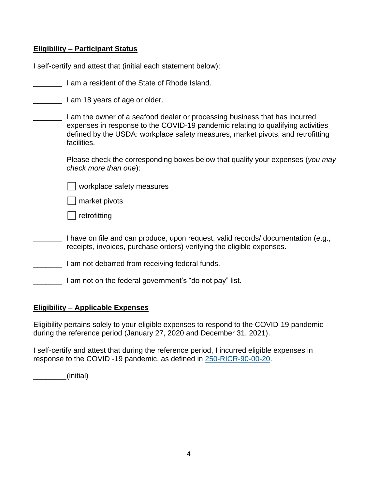#### **Eligibility – Participant Status**

| I self-certify and attest that (initial each statement below): |  |
|----------------------------------------------------------------|--|
|                                                                |  |

**Example 2** I am 18 years of age or older.

| I am the owner of a seafood dealer or processing business that has incurred     |
|---------------------------------------------------------------------------------|
| expenses in response to the COVID-19 pandemic relating to qualifying activities |
| defined by the USDA: workplace safety measures, market pivots, and retrofitting |
| facilities.                                                                     |

Please check the corresponding boxes below that qualify your expenses (*you may check more than one*):

⬜ workplace safety measures

⬜ market pivots

⬜ retrofitting

- I have on file and can produce, upon request, valid records/ documentation (e.g., receipts, invoices, purchase orders) verifying the eligible expenses.
- **I am not debarred from receiving federal funds.**
- \_\_\_\_\_\_\_ I am not on the federal government's "do not pay" list.

#### **Eligibility – Applicable Expenses**

Eligibility pertains solely to your eligible expenses to respond to the COVID-19 pandemic during the reference period (January 27, 2020 and December 31, 2021).

I self-certify and attest that during the reference period, I incurred eligible expenses in response to the COVID -19 pandemic, as defined in [250-RICR-90-00-20.](https://rules.sos.ri.gov/regulations/part/250-90-00-20)

\_\_\_\_\_\_\_\_(initial)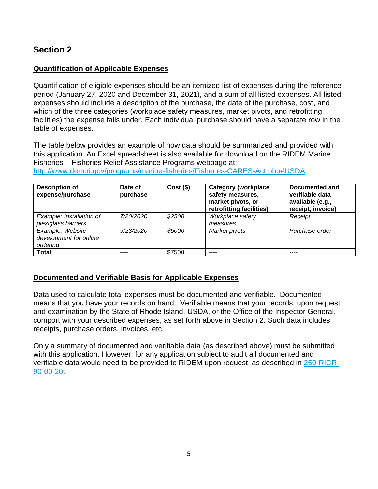### **Quantification of Applicable Expenses**

Quantification of eligible expenses should be an itemized list of expenses during the reference period (January 27, 2020 and December 31, 2021), and a sum of all listed expenses. All listed expenses should include a description of the purchase, the date of the purchase, cost, and which of the three categories (workplace safety measures, market pivots, and retrofitting facilities) the expense falls under. Each individual purchase should have a separate row in the table of expenses.

The table below provides an example of how data should be summarized and provided with this application. An Excel spreadsheet is also available for download on the RIDEM Marine Fisheries – Fisheries Relief Assistance Programs webpage at:

<http://www.dem.ri.gov/programs/marine-fisheries/Fisheries-CARES-Act.php#USDA>

| <b>Description of</b><br>expense/purchase              | Date of<br>purchase | $Cost($ \$) | <b>Category (workplace</b><br>safety measures,<br>market pivots, or<br>retrofitting facilities) | Documented and<br>verifiable data<br>available (e.g.,<br>receipt, invoice) |
|--------------------------------------------------------|---------------------|-------------|-------------------------------------------------------------------------------------------------|----------------------------------------------------------------------------|
| Example: Installation of<br>plexiglass barriers        | 7/20/2020           | \$2500      | Workplace safety<br>measures                                                                    | Receipt                                                                    |
| Example: Website<br>development for online<br>ordering | 9/23/2020           | \$5000      | Market pivots                                                                                   | Purchase order                                                             |
| <b>Total</b>                                           |                     | \$7500      |                                                                                                 | ----                                                                       |

### **Documented and Verifiable Basis for Applicable Expenses**

Data used to calculate total expenses must be documented and verifiable. Documented means that you have your records on hand. Verifiable means that your records, upon request and examination by the State of Rhode Island, USDA, or the Office of the Inspector General, comport with your described expenses, as set forth above in Section 2. Such data includes receipts, purchase orders, invoices, etc.

Only a summary of documented and verifiable data (as described above) must be submitted with this application. However, for any application subject to audit all documented and verifiable data would need to be provided to RIDEM upon request, as described in [250-RICR-](https://rules.sos.ri.gov/regulations/part/250-90-00-20)[90-00-20.](https://rules.sos.ri.gov/regulations/part/250-90-00-20)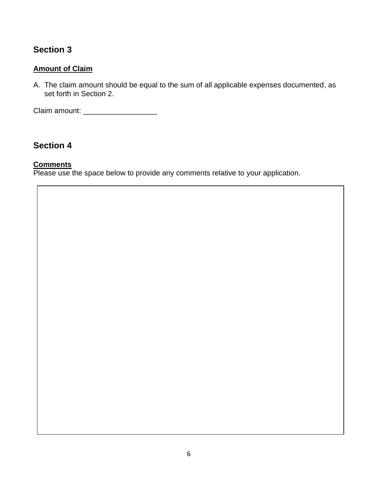### **Amount of Claim**

A. The claim amount should be equal to the sum of all applicable expenses documented, as set forth in Section 2.

Claim amount: \_\_\_\_\_\_\_\_\_\_\_\_\_\_\_\_\_\_

# **Section 4**

#### **Comments**

Please use the space below to provide any comments relative to your application.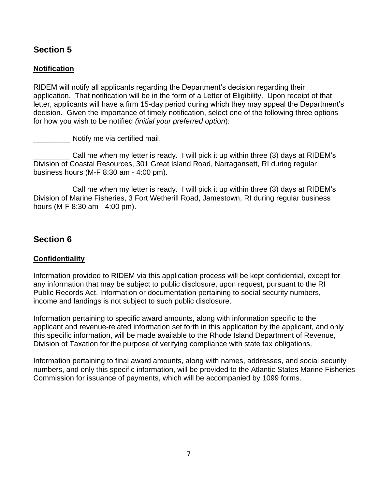### **Notification**

RIDEM will notify all applicants regarding the Department's decision regarding their application. That notification will be in the form of a Letter of Eligibility. Upon receipt of that letter, applicants will have a firm 15-day period during which they may appeal the Department's decision. Given the importance of timely notification, select one of the following three options for how you wish to be notified *(initial your preferred option*):

\_\_\_\_\_\_\_\_\_ Notify me via certified mail.

\_\_\_\_\_\_\_\_\_ Call me when my letter is ready. I will pick it up within three (3) days at RIDEM's Division of Coastal Resources, 301 Great Island Road, Narragansett, RI during regular business hours (M-F 8:30 am - 4:00 pm).

Call me when my letter is ready. I will pick it up within three (3) days at RIDEM's Division of Marine Fisheries, 3 Fort Wetherill Road, Jamestown, RI during regular business hours (M-F 8:30 am - 4:00 pm).

## **Section 6**

### **Confidentiality**

Information provided to RIDEM via this application process will be kept confidential, except for any information that may be subject to public disclosure, upon request, pursuant to the RI Public Records Act. Information or documentation pertaining to social security numbers, income and landings is not subject to such public disclosure.

Information pertaining to specific award amounts, along with information specific to the applicant and revenue-related information set forth in this application by the applicant, and only this specific information, will be made available to the Rhode Island Department of Revenue, Division of Taxation for the purpose of verifying compliance with state tax obligations.

Information pertaining to final award amounts, along with names, addresses, and social security numbers, and only this specific information, will be provided to the Atlantic States Marine Fisheries Commission for issuance of payments, which will be accompanied by 1099 forms.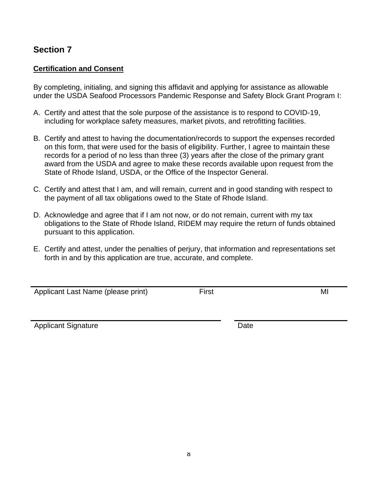#### **Certification and Consent**

By completing, initialing, and signing this affidavit and applying for assistance as allowable under the USDA Seafood Processors Pandemic Response and Safety Block Grant Program I:

- A. Certify and attest that the sole purpose of the assistance is to respond to COVID-19, including for workplace safety measures, market pivots, and retrofitting facilities.
- B. Certify and attest to having the documentation/records to support the expenses recorded on this form, that were used for the basis of eligibility. Further, I agree to maintain these records for a period of no less than three (3) years after the close of the primary grant award from the USDA and agree to make these records available upon request from the State of Rhode Island, USDA, or the Office of the Inspector General.
- C. Certify and attest that I am, and will remain, current and in good standing with respect to the payment of all tax obligations owed to the State of Rhode Island.
- D. Acknowledge and agree that if I am not now, or do not remain, current with my tax obligations to the State of Rhode Island, RIDEM may require the return of funds obtained pursuant to this application.
- E. Certify and attest, under the penalties of perjury, that information and representations set forth in and by this application are true, accurate, and complete.

Applicant Last Name (please print) First First First MI

Applicant Signature Date Date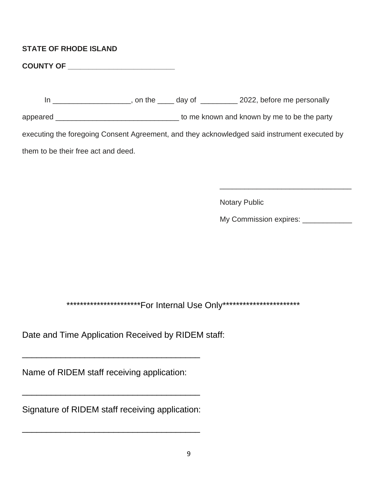### **STATE OF RHODE ISLAND**

**COUNTY OF \_\_\_\_\_\_\_\_\_\_\_\_\_\_\_\_\_\_\_\_\_\_\_\_\_\_**

In \_\_\_\_\_\_\_\_\_\_\_\_\_\_\_\_\_\_\_\_\_, on the \_\_\_\_\_ day of \_\_\_\_\_\_\_\_\_\_ 2022, before me personally appeared \_\_\_\_\_\_\_\_\_\_\_\_\_\_\_\_\_\_\_\_\_\_\_\_\_\_\_\_\_\_\_\_\_\_\_ to me known and known by me to be the party executing the foregoing Consent Agreement, and they acknowledged said instrument executed by them to be their free act and deed.

 $\overline{\phantom{a}}$  , and the contract of the contract of the contract of the contract of the contract of the contract of the contract of the contract of the contract of the contract of the contract of the contract of the contrac

Notary Public

My Commission expires: \_\_\_\_\_\_\_\_\_\_\_\_

\*\*\*\*\*\*\*\*\*\*\*\*\*\*\*\*\*\*\*\*\*\*\*\*\*For Internal Use Only\*\*\*\*\*\*\*\*\*\*\*\*\*\*\*\*\*\*\*\*\*\*\*\*\*\*

Date and Time Application Received by RIDEM staff:

Name of RIDEM staff receiving application:

\_\_\_\_\_\_\_\_\_\_\_\_\_\_\_\_\_\_\_\_\_\_\_\_\_\_\_\_\_\_\_\_\_\_\_\_\_

Signature of RIDEM staff receiving application:

\_\_\_\_\_\_\_\_\_\_\_\_\_\_\_\_\_\_\_\_\_\_\_\_\_\_\_\_\_\_\_\_\_\_\_\_\_

\_\_\_\_\_\_\_\_\_\_\_\_\_\_\_\_\_\_\_\_\_\_\_\_\_\_\_\_\_\_\_\_\_\_\_\_\_